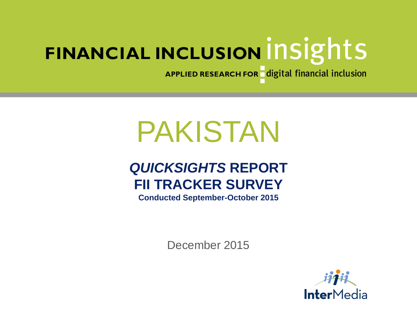APPLIED RESEARCH FOR digital financial inclusion

# PAKISTAN

# *QUICKSIGHTS* **REPORT FII TRACKER SURVEY**

**Conducted September-October 2015**

December 2015

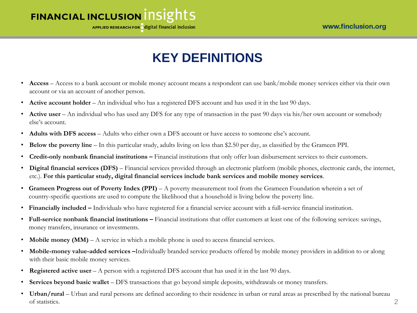APPLIED RESEARCH FOR digital financial inclusion

# **KEY DEFINITIONS**

- **Access** Access to a bank account or mobile money account means a respondent can use bank/mobile money services either via their own account or via an account of another person.
- **Active account holder** An individual who has a registered DFS account and has used it in the last 90 days.
- **Active user** An individual who has used any DFS for any type of transaction in the past 90 days via his/her own account or somebody else's account.
- **Adults with DFS access** Adults who either own a DFS account or have access to someone else's account.
- **Below the poverty line**  In this particular study, adults living on less than \$2.50 per day, as classified by the Grameen PPI.
- **Credit-only nonbank financial institutions –** Financial institutions that only offer loan disbursement services to their customers.
- **Digital financial services (DFS)** Financial services provided through an electronic platform (mobile phones, electronic cards, the internet, etc.). **For this particular study, digital financial services include bank services and mobile money services**.
- **Grameen Progress out of Poverty Index (PPI)**  A poverty measurement tool from the Grameen Foundation wherein a set of country-specific questions are used to compute the likelihood that a household is living below the poverty line.
- **Financially included –** Individuals who have registered for a financial service account with a full-service financial institution.
- **Full-service nonbank financial institutions –** Financial institutions that offer customers at least one of the following services: savings, money transfers, insurance or investments.
- **Mobile money (MM)**  $A$  service in which a mobile phone is used to access financial services.
- **Mobile-money value-added services –**Individually branded service products offered by mobile money providers in addition to or along with their basic mobile money services.
- **Registered active user** A person with a registered DFS account that has used it in the last 90 days.
- **Services beyond basic wallet** DFS transactions that go beyond simple deposits, withdrawals or money transfers.
- **Urban/rural**  Urban and rural persons are defined according to their residence in urban or rural areas as prescribed by the national bureau of statistics. 2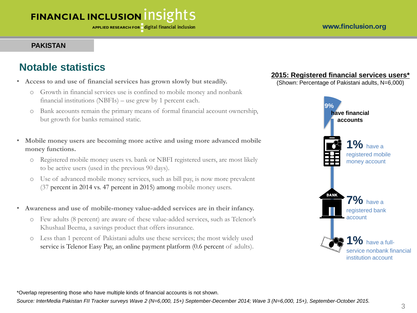#### www.finclusion.org

# **FINANCIAL INCLUSION INSIGHTS**

#### **PAKISTAN**

#### **Notable statistics**

- **Access to and use of financial services has grown slowly but steadily.**
	- o Growth in financial services use is confined to mobile money and nonbank financial institutions (NBFIs) – use grew by 1 percent each.
	- o Bank accounts remain the primary means of formal financial account ownership, but growth for banks remained static.
- **Mobile money users are becoming more active and using more advanced mobile money functions.** 
	- o Registered mobile money users vs. bank or NBFI registered users, are most likely to be active users (used in the previous 90 days).
	- o Use of advanced mobile money services, such as bill pay, is now more prevalent (37 percent in 2014 vs. 47 percent in 2015) among mobile money users.
- **Awareness and use of mobile-money value-added services are in their infancy.**
	- o Few adults (8 percent) are aware of these value-added services, such as Telenor's Khushaal Beema, a savings product that offers insurance.
	- o Less than 1 percent of Pakistani adults use these services; the most widely used service is Telenor Easy Pay, an online payment platform (0.6 percent of adults).

#### **2015: Registered financial services users\***

(Shown: Percentage of Pakistani adults, N=6,000)



\*Overlap representing those who have multiple kinds of financial accounts is not shown.

*Source: InterMedia Pakistan FII Tracker surveys Wave 2 (N=6,000, 15+) September-December 2014; Wave 3 (N=6,000, 15+), September-October 2015.*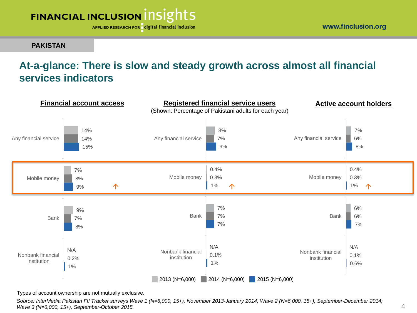APPLIED RESEARCH FOR digital financial inclusion

**PAKISTAN**

## **At-a-glance: There is slow and steady growth across almost all financial services indicators**



Types of account ownership are not mutually exclusive.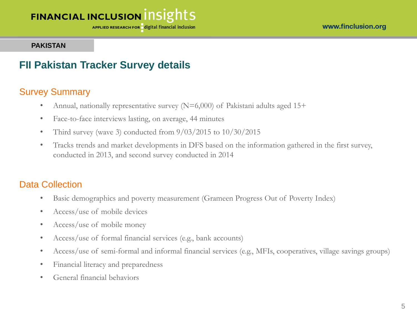APPLIED RESEARCH FOR digital financial inclusion

#### **PAKISTAN**

#### **FII Pakistan Tracker Survey details**

#### Survey Summary

- Annual, nationally representative survey  $(N=6,000)$  of Pakistani adults aged 15+
- Face-to-face interviews lasting, on average, 44 minutes
- Third survey (wave 3) conducted from  $9/03/2015$  to  $10/30/2015$
- Tracks trends and market developments in DFS based on the information gathered in the first survey, conducted in 2013, and second survey conducted in 2014

#### Data Collection

- Basic demographics and poverty measurement (Grameen Progress Out of Poverty Index)
- Access/use of mobile devices
- Access/use of mobile money
- Access/use of formal financial services (e.g., bank accounts)
- Access/use of semi-formal and informal financial services (e.g., MFIs, cooperatives, village savings groups)
- Financial literacy and preparedness
- General financial behaviors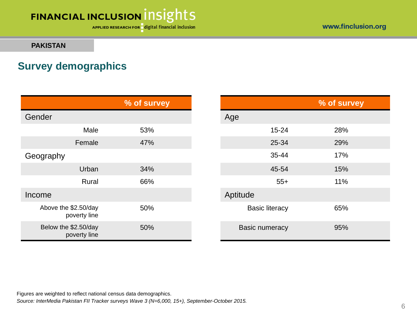APPLIED RESEARCH FOR digital financial inclusion

www.finclusion.org

#### **PAKISTAN**

## **Survey demographics**

|                                      | % of survey |                              | % of survey |
|--------------------------------------|-------------|------------------------------|-------------|
| Gender                               |             | Age                          |             |
| Male                                 | 53%         | $15 - 24$                    | 28%         |
| Female                               | 47%         | 25-34                        | 29%         |
| Geography                            |             | 35-44                        | 17%         |
| Urban                                | 34%         | 45-54                        | 15%         |
| Rural                                | 66%         | $55+$                        | 11%         |
| Income                               |             | Aptitude                     |             |
| Above the \$2.50/day<br>poverty line | 50%         | <b>Basic literacy</b>        | 65%         |
| Below the \$2.50/day<br>poverty line | 50%         | 95%<br><b>Basic numeracy</b> |             |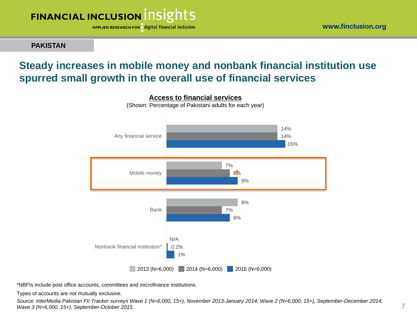

**PAKISTAN**

## **Steady increases in mobile money and nonbank financial institution use spurred small growth in the overall use of financial services**



\*NBFIs include post office accounts, committees and microfinance institutions.

Types of accounts are not mutually exclusive.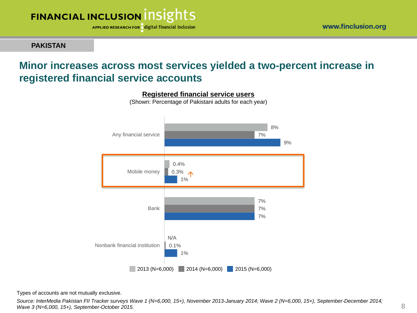

**PAKISTAN**

## **Minor increases across most services yielded a two-percent increase in registered financial service accounts**



**Registered financial service users**

(Shown: Percentage of Pakistani adults for each year)

Types of accounts are not mutually exclusive.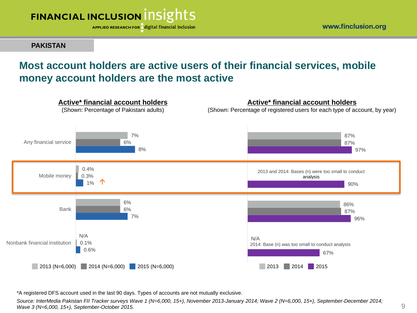

**PAKISTAN**

## **Most account holders are active users of their financial services, mobile money account holders are the most active**



\*A registered DFS account used in the last 90 days. Types of accounts are not mutually exclusive.

*Source: InterMedia Pakistan FII Tracker surveys Wave 1 (N=6,000, 15+), November 2013-January 2014; Wave 2 (N=6,000, 15+), September-December 2014; Wave 3 (N=6,000, 15+), September-October 2015.*

www.finclusion.org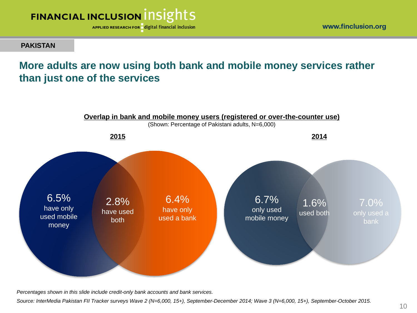

www.finclusion.org

#### **PAKISTAN**

## **More adults are now using both bank and mobile money services rather than just one of the services**



*Percentages shown in this slide include credit-only bank accounts and bank services.* 

*Source: InterMedia Pakistan FII Tracker surveys Wave 2 (N=6,000, 15+), September-December 2014; Wave 3 (N=6,000, 15+), September-October 2015.*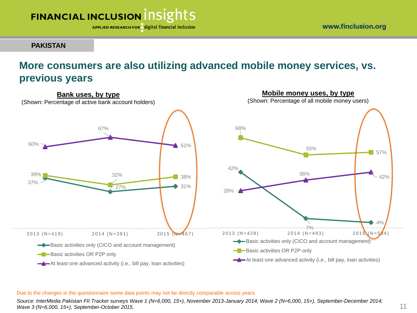

APPLIED RESEARCH FOR digital financial inclusion

#### **PAKISTAN**

## **More consumers are also utilizing advanced mobile money services, vs. previous years**



#### Due to the changes in the questionnaire some data points may not be directly comparable across years.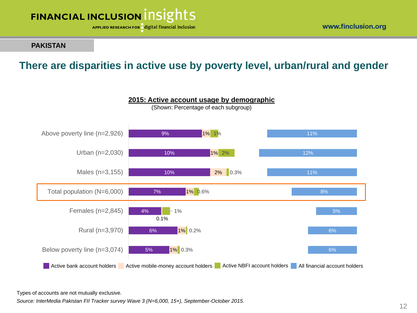

www.finclusion.org

#### **PAKISTAN**

## **There are disparities in active use by poverty level, urban/rural and gender**



**2015: Active account usage by demographic**

Types of accounts are not mutually exclusive.

*Source: InterMedia Pakistan FII Tracker survey Wave 3 (N=6,000, 15+), September-October 2015.*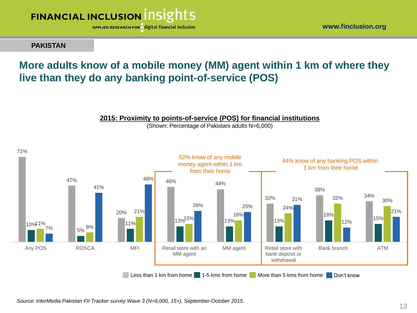

**PAKISTAN**

## **More adults know of a mobile money (MM) agent within 1 km of where they live than they do any banking point-of-service (POS)**



**2015: Proximity to points-of-service (POS) for financial institutions** (Shown: Percentage of Pakistani adults N=6,000)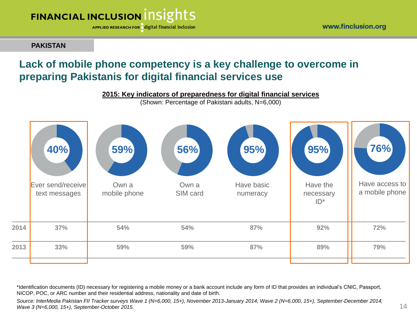APPLIED RESEARCH FOR digital financial inclusion

**PAKISTAN**

## **Lack of mobile phone competency is a key challenge to overcome in preparing Pakistanis for digital financial services use**



\*Identification documents (ID) necessary for registering a mobile money or a bank account include any form of ID that provides an individual's CNIC, Passport, NICOP, POC, or ARC number and their residential address, nationality and date of birth.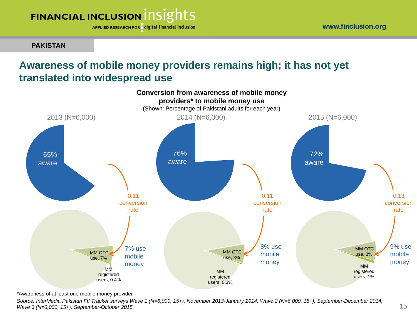APPLIED RESEARCH FOR digital financial inclusion

**PAKISTAN**

## **Awareness of mobile money providers remains high; it has not yet translated into widespread use**



\*Awareness of at least one mobile money provider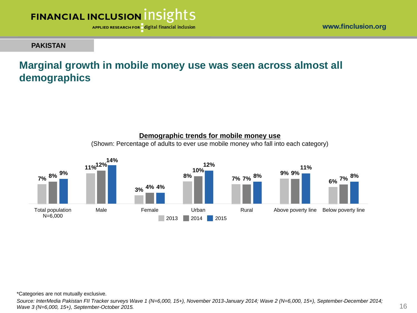

#### **PAKISTAN**

## **Marginal growth in mobile money use was seen across almost all demographics**



**Demographic trends for mobile money use** 

\*Categories are not mutually exclusive.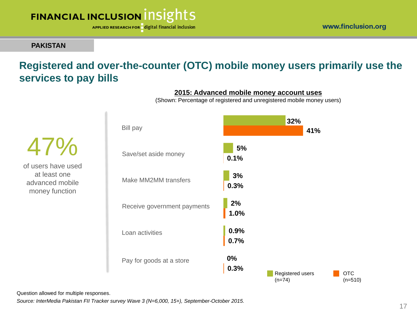APPLIED RESEARCH FOR digital financial inclusion

#### **PAKISTAN**

47%

of users have used at least one advanced mobile money function

## **Registered and over-the-counter (OTC) mobile money users primarily use the services to pay bills**



#### **2015: Advanced mobile money account uses**

(Shown: Percentage of registered and unregistered mobile money users)

Question allowed for multiple responses.

*Source: InterMedia Pakistan FII Tracker survey Wave 3 (N=6,000, 15+), September-October 2015.*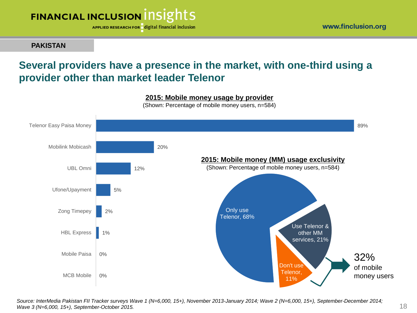

**PAKISTAN**

## **Several providers have a presence in the market, with one-third using a provider other than market leader Telenor**

#### **2015: Mobile money usage by provider**

(Shown: Percentage of mobile money users, n=584)



*Source: InterMedia Pakistan FII Tracker surveys Wave 1 (N=6,000, 15+), November 2013-January 2014; Wave 2 (N=6,000, 15+), September-December 2014; Wave 3 (N=6,000, 15+), September-October 2015.*

www.finclusion.org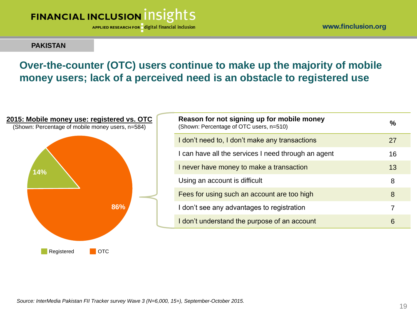APPLIED RESEARCH FOR digital financial inclusion

www.finclusion.org

#### **PAKISTAN**

## **Over-the-counter (OTC) users continue to make up the majority of mobile money users; lack of a perceived need is an obstacle to registered use**

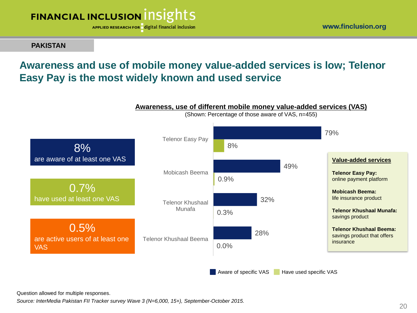

**PAKISTAN**

## **Awareness and use of mobile money value-added services is low; Telenor Easy Pay is the most widely known and used service**





(Shown: Percentage of those aware of VAS, n=455)

Question allowed for multiple responses.

*Source: InterMedia Pakistan FII Tracker survey Wave 3 (N=6,000, 15+), September-October 2015.*

www.finclusion.org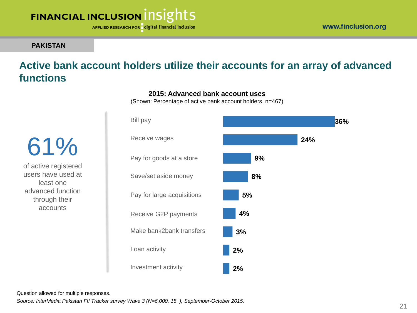

**36%**

**24%**

## FINANCIAL INCLUSION INSIGHTS

APPLIED RESEARCH FOR digital financial inclusion

#### **PAKISTAN**

## **Active bank account holders utilize their accounts for an array of advanced functions**

**9% 8% 5% 4% 3% 2% 2%** Investment activity Save/set aside money Bill pay Receive wages Loan activity Make bank2bank transfers Receive G2P payments Pay for large acquisitions Pay for goods at a store

#### **2015: Advanced bank account uses**

(Shown: Percentage of active bank account holders, n=467)

61% of active registered users have used at

least one advanced function through their accounts

Question allowed for multiple responses.

*Source: InterMedia Pakistan FII Tracker survey Wave 3 (N=6,000, 15+), September-October 2015.*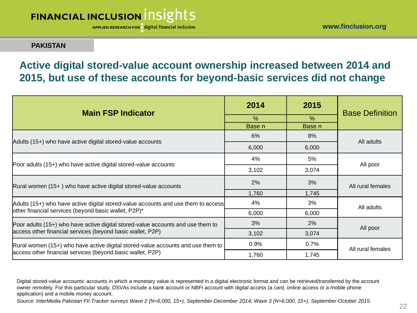APPLIED RESEARCH FOR digital financial inclusion

#### **PAKISTAN**

## **Active digital stored-value account ownership increased between 2014 and 2015, but use of these accounts for beyond-basic services did not change**

| <b>Main FSP Indicator</b>                                                         | 2014   | 2015          | <b>Base Definition</b> |  |
|-----------------------------------------------------------------------------------|--------|---------------|------------------------|--|
|                                                                                   | $\%$   | $\frac{0}{0}$ |                        |  |
|                                                                                   | Base n | Base n        |                        |  |
| Adults (15+) who have active digital stored-value accounts                        | 6%     | 8%            | All adults             |  |
|                                                                                   | 6,000  | 6,000         |                        |  |
|                                                                                   | 4%     | 5%            |                        |  |
| Poor adults (15+) who have active digital stored-value accounts                   | 3,102  | 3,074         | All poor               |  |
| $Rural women (15+) who have active digital stored-value accounts$                 | 2%     | 3%            | All rural females      |  |
|                                                                                   | 1,760  | 1,745         |                        |  |
| Adults (15+) who have active digital stored-value accounts and use them to access | 4%     | 3%            | All adults             |  |
| other financial services (beyond basic wallet, P2P)*                              | 6,000  | 6,000         |                        |  |
| Poor adults (15+) who have active digital stored-value accounts and use them to   | 3%     | 2%            | All poor               |  |
| access other financial services (beyond basic wallet, P2P)                        | 3,102  | 3,074         |                        |  |
| Rural women (15+) who have active digital stored-value accounts and use them to   | 0.9%   | 0.7%          | All rural females      |  |
| access other financial services (beyond basic wallet, P2P)                        | 1,760  | 1,745         |                        |  |

Digital stored-value accounts: accounts in which a monetary value is represented in a digital electronic format and can be retrieved/transferred by the account owner remotely. For this particular study, DSVAs include a bank account or NBFI account with digital access (a card, online access or a mobile phone application) and a mobile money account.

*Source: InterMedia Pakistan FII Tracker surveys Wave 2 (N=6,000, 15+), September-December 2014; Wave 3 (N=6,000, 15+), September-October 2015.*